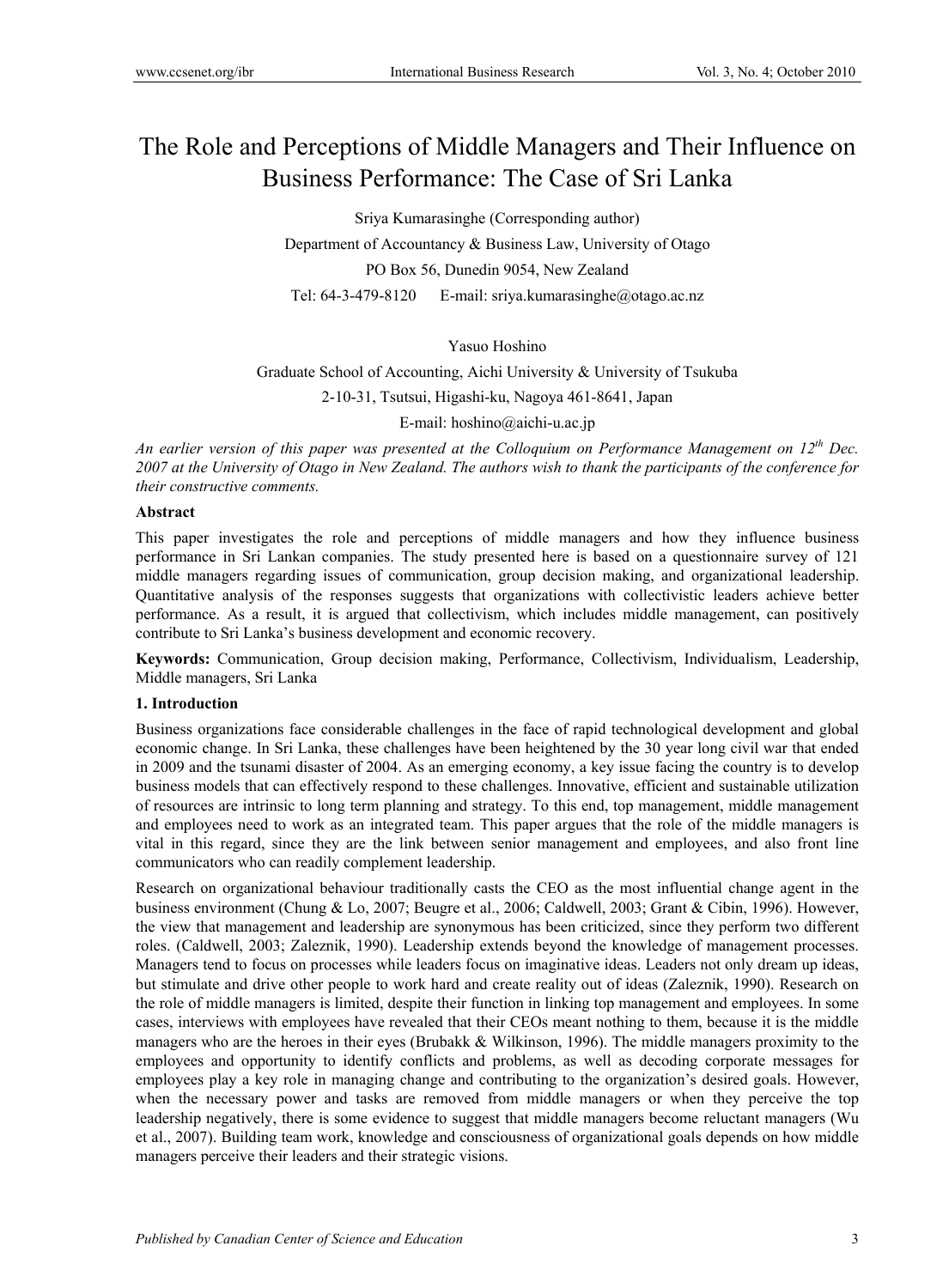# The Role and Perceptions of Middle Managers and Their Influence on Business Performance: The Case of Sri Lanka

Sriya Kumarasinghe (Corresponding author)

Department of Accountancy & Business Law, University of Otago PO Box 56, Dunedin 9054, New Zealand

Tel: 64-3-479-8120 E-mail: sriya.kumarasinghe@otago.ac.nz

# Yasuo Hoshino

Graduate School of Accounting, Aichi University & University of Tsukuba

2-10-31, Tsutsui, Higashi-ku, Nagoya 461-8641, Japan

E-mail: hoshino@aichi-u.ac.jp

*An earlier version of this paper was presented at the Colloquium on Performance Management on 12<sup>th</sup> Dec. 2007 at the University of Otago in New Zealand. The authors wish to thank the participants of the conference for their constructive comments.* 

# **Abstract**

This paper investigates the role and perceptions of middle managers and how they influence business performance in Sri Lankan companies. The study presented here is based on a questionnaire survey of 121 middle managers regarding issues of communication, group decision making, and organizational leadership. Quantitative analysis of the responses suggests that organizations with collectivistic leaders achieve better performance. As a result, it is argued that collectivism, which includes middle management, can positively contribute to Sri Lanka's business development and economic recovery.

**Keywords:** Communication, Group decision making, Performance, Collectivism, Individualism, Leadership, Middle managers, Sri Lanka

# **1. Introduction**

Business organizations face considerable challenges in the face of rapid technological development and global economic change. In Sri Lanka, these challenges have been heightened by the 30 year long civil war that ended in 2009 and the tsunami disaster of 2004. As an emerging economy, a key issue facing the country is to develop business models that can effectively respond to these challenges. Innovative, efficient and sustainable utilization of resources are intrinsic to long term planning and strategy. To this end, top management, middle management and employees need to work as an integrated team. This paper argues that the role of the middle managers is vital in this regard, since they are the link between senior management and employees, and also front line communicators who can readily complement leadership.

Research on organizational behaviour traditionally casts the CEO as the most influential change agent in the business environment (Chung & Lo, 2007; Beugre et al., 2006; Caldwell, 2003; Grant & Cibin, 1996). However, the view that management and leadership are synonymous has been criticized, since they perform two different roles. (Caldwell, 2003; Zaleznik, 1990). Leadership extends beyond the knowledge of management processes. Managers tend to focus on processes while leaders focus on imaginative ideas. Leaders not only dream up ideas, but stimulate and drive other people to work hard and create reality out of ideas (Zaleznik, 1990). Research on the role of middle managers is limited, despite their function in linking top management and employees. In some cases, interviews with employees have revealed that their CEOs meant nothing to them, because it is the middle managers who are the heroes in their eyes (Brubakk & Wilkinson, 1996). The middle managers proximity to the employees and opportunity to identify conflicts and problems, as well as decoding corporate messages for employees play a key role in managing change and contributing to the organization's desired goals. However, when the necessary power and tasks are removed from middle managers or when they perceive the top leadership negatively, there is some evidence to suggest that middle managers become reluctant managers (Wu et al., 2007). Building team work, knowledge and consciousness of organizational goals depends on how middle managers perceive their leaders and their strategic visions.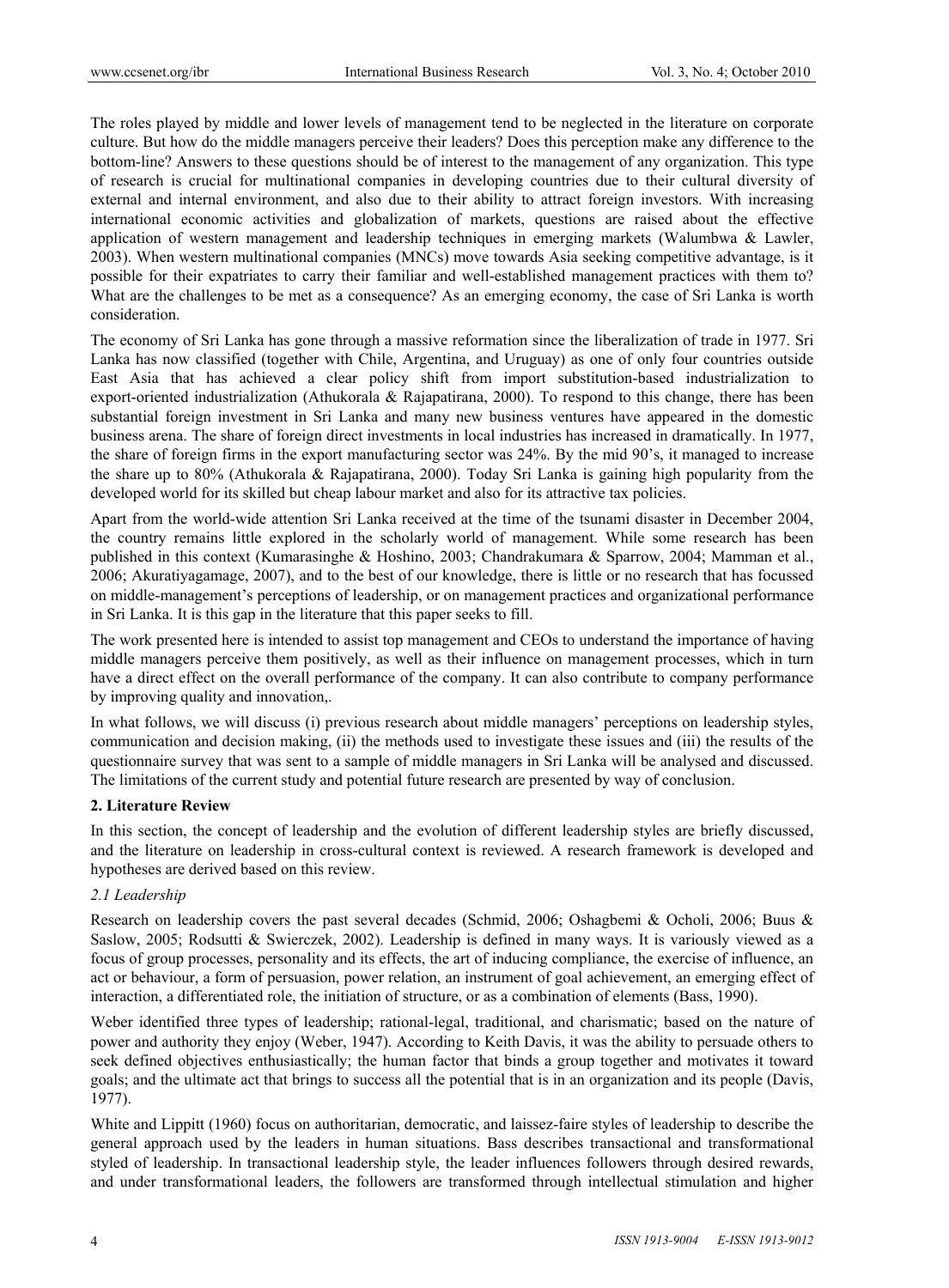The roles played by middle and lower levels of management tend to be neglected in the literature on corporate culture. But how do the middle managers perceive their leaders? Does this perception make any difference to the bottom-line? Answers to these questions should be of interest to the management of any organization. This type of research is crucial for multinational companies in developing countries due to their cultural diversity of external and internal environment, and also due to their ability to attract foreign investors. With increasing international economic activities and globalization of markets, questions are raised about the effective application of western management and leadership techniques in emerging markets (Walumbwa & Lawler, 2003). When western multinational companies (MNCs) move towards Asia seeking competitive advantage, is it possible for their expatriates to carry their familiar and well-established management practices with them to? What are the challenges to be met as a consequence? As an emerging economy, the case of Sri Lanka is worth consideration.

The economy of Sri Lanka has gone through a massive reformation since the liberalization of trade in 1977. Sri Lanka has now classified (together with Chile, Argentina, and Uruguay) as one of only four countries outside East Asia that has achieved a clear policy shift from import substitution-based industrialization to export-oriented industrialization (Athukorala & Rajapatirana, 2000). To respond to this change, there has been substantial foreign investment in Sri Lanka and many new business ventures have appeared in the domestic business arena. The share of foreign direct investments in local industries has increased in dramatically. In 1977, the share of foreign firms in the export manufacturing sector was 24%. By the mid 90's, it managed to increase the share up to 80% (Athukorala & Rajapatirana, 2000). Today Sri Lanka is gaining high popularity from the developed world for its skilled but cheap labour market and also for its attractive tax policies.

Apart from the world-wide attention Sri Lanka received at the time of the tsunami disaster in December 2004, the country remains little explored in the scholarly world of management. While some research has been published in this context (Kumarasinghe & Hoshino, 2003; Chandrakumara & Sparrow, 2004; Mamman et al., 2006; Akuratiyagamage, 2007), and to the best of our knowledge, there is little or no research that has focussed on middle-management's perceptions of leadership, or on management practices and organizational performance in Sri Lanka. It is this gap in the literature that this paper seeks to fill.

The work presented here is intended to assist top management and CEOs to understand the importance of having middle managers perceive them positively, as well as their influence on management processes, which in turn have a direct effect on the overall performance of the company. It can also contribute to company performance by improving quality and innovation,.

In what follows, we will discuss (i) previous research about middle managers' perceptions on leadership styles, communication and decision making, (ii) the methods used to investigate these issues and (iii) the results of the questionnaire survey that was sent to a sample of middle managers in Sri Lanka will be analysed and discussed. The limitations of the current study and potential future research are presented by way of conclusion.

## **2. Literature Review**

In this section, the concept of leadership and the evolution of different leadership styles are briefly discussed, and the literature on leadership in cross-cultural context is reviewed. A research framework is developed and hypotheses are derived based on this review.

#### *2.1 Leadership*

Research on leadership covers the past several decades (Schmid, 2006; Oshagbemi & Ocholi, 2006; Buus & Saslow, 2005; Rodsutti & Swierczek, 2002). Leadership is defined in many ways. It is variously viewed as a focus of group processes, personality and its effects, the art of inducing compliance, the exercise of influence, an act or behaviour, a form of persuasion, power relation, an instrument of goal achievement, an emerging effect of interaction, a differentiated role, the initiation of structure, or as a combination of elements (Bass, 1990).

Weber identified three types of leadership; rational-legal, traditional, and charismatic; based on the nature of power and authority they enjoy (Weber, 1947). According to Keith Davis, it was the ability to persuade others to seek defined objectives enthusiastically; the human factor that binds a group together and motivates it toward goals; and the ultimate act that brings to success all the potential that is in an organization and its people (Davis, 1977).

White and Lippitt (1960) focus on authoritarian, democratic, and laissez-faire styles of leadership to describe the general approach used by the leaders in human situations. Bass describes transactional and transformational styled of leadership. In transactional leadership style, the leader influences followers through desired rewards, and under transformational leaders, the followers are transformed through intellectual stimulation and higher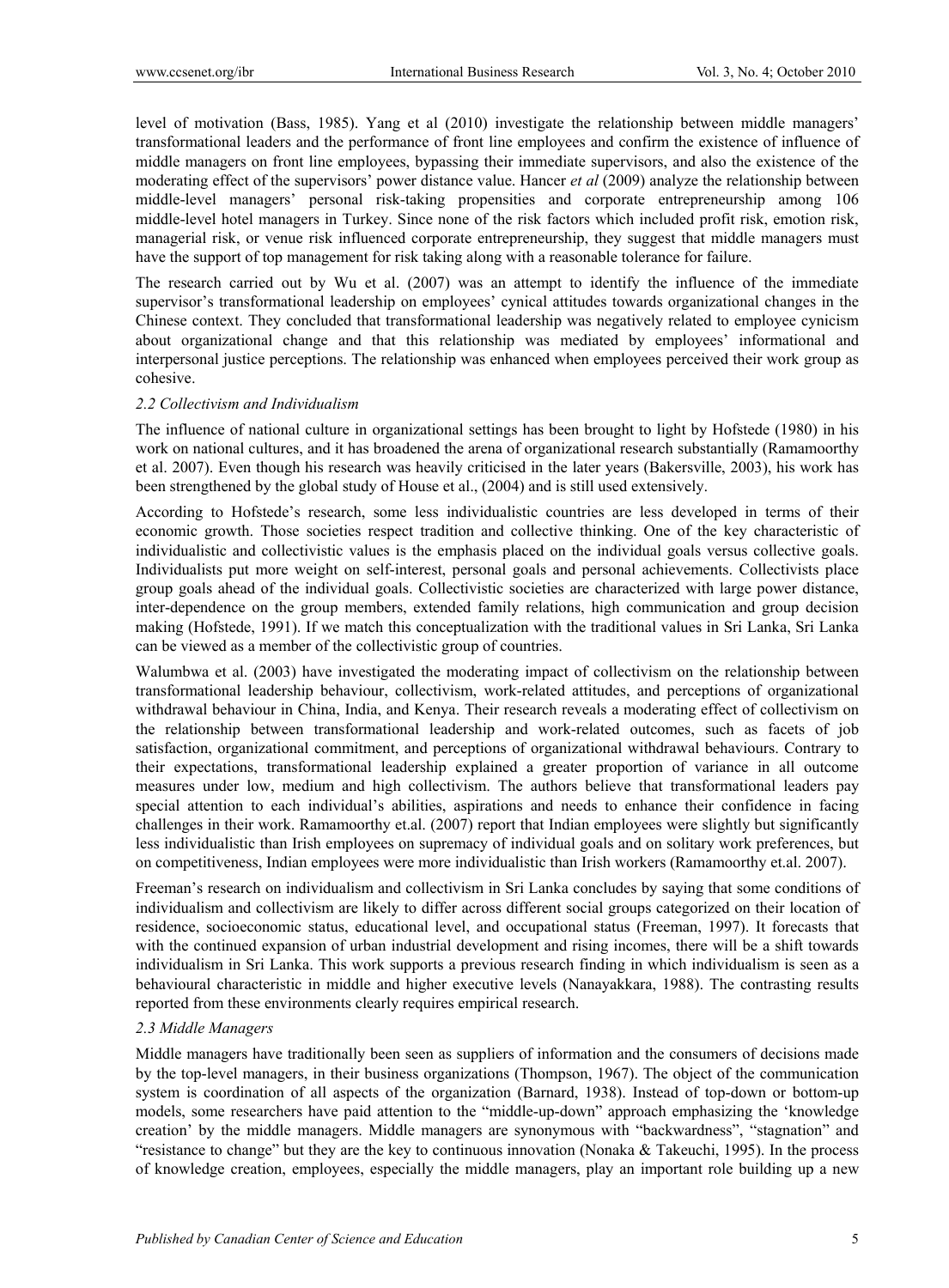level of motivation (Bass, 1985). Yang et al (2010) investigate the relationship between middle managers' transformational leaders and the performance of front line employees and confirm the existence of influence of middle managers on front line employees, bypassing their immediate supervisors, and also the existence of the moderating effect of the supervisors' power distance value. Hancer *et al* (2009) analyze the relationship between middle-level managers' personal risk-taking propensities and corporate entrepreneurship among 106 middle-level hotel managers in Turkey. Since none of the risk factors which included profit risk, emotion risk, managerial risk, or venue risk influenced corporate entrepreneurship, they suggest that middle managers must have the support of top management for risk taking along with a reasonable tolerance for failure.

The research carried out by Wu et al. (2007) was an attempt to identify the influence of the immediate supervisor's transformational leadership on employees' cynical attitudes towards organizational changes in the Chinese context. They concluded that transformational leadership was negatively related to employee cynicism about organizational change and that this relationship was mediated by employees' informational and interpersonal justice perceptions. The relationship was enhanced when employees perceived their work group as cohesive.

## *2.2 Collectivism and Individualism*

The influence of national culture in organizational settings has been brought to light by Hofstede (1980) in his work on national cultures, and it has broadened the arena of organizational research substantially (Ramamoorthy et al. 2007). Even though his research was heavily criticised in the later years (Bakersville, 2003), his work has been strengthened by the global study of House et al., (2004) and is still used extensively.

According to Hofstede's research, some less individualistic countries are less developed in terms of their economic growth. Those societies respect tradition and collective thinking. One of the key characteristic of individualistic and collectivistic values is the emphasis placed on the individual goals versus collective goals. Individualists put more weight on self-interest, personal goals and personal achievements. Collectivists place group goals ahead of the individual goals. Collectivistic societies are characterized with large power distance, inter-dependence on the group members, extended family relations, high communication and group decision making (Hofstede, 1991). If we match this conceptualization with the traditional values in Sri Lanka, Sri Lanka can be viewed as a member of the collectivistic group of countries.

Walumbwa et al. (2003) have investigated the moderating impact of collectivism on the relationship between transformational leadership behaviour, collectivism, work-related attitudes, and perceptions of organizational withdrawal behaviour in China, India, and Kenya. Their research reveals a moderating effect of collectivism on the relationship between transformational leadership and work-related outcomes, such as facets of job satisfaction, organizational commitment, and perceptions of organizational withdrawal behaviours. Contrary to their expectations, transformational leadership explained a greater proportion of variance in all outcome measures under low, medium and high collectivism. The authors believe that transformational leaders pay special attention to each individual's abilities, aspirations and needs to enhance their confidence in facing challenges in their work. Ramamoorthy et.al. (2007) report that Indian employees were slightly but significantly less individualistic than Irish employees on supremacy of individual goals and on solitary work preferences, but on competitiveness, Indian employees were more individualistic than Irish workers (Ramamoorthy et.al. 2007).

Freeman's research on individualism and collectivism in Sri Lanka concludes by saying that some conditions of individualism and collectivism are likely to differ across different social groups categorized on their location of residence, socioeconomic status, educational level, and occupational status (Freeman, 1997). It forecasts that with the continued expansion of urban industrial development and rising incomes, there will be a shift towards individualism in Sri Lanka. This work supports a previous research finding in which individualism is seen as a behavioural characteristic in middle and higher executive levels (Nanayakkara, 1988). The contrasting results reported from these environments clearly requires empirical research.

## *2.3 Middle Managers*

Middle managers have traditionally been seen as suppliers of information and the consumers of decisions made by the top-level managers, in their business organizations (Thompson, 1967). The object of the communication system is coordination of all aspects of the organization (Barnard, 1938). Instead of top-down or bottom-up models, some researchers have paid attention to the "middle-up-down" approach emphasizing the 'knowledge creation' by the middle managers. Middle managers are synonymous with "backwardness", "stagnation" and "resistance to change" but they are the key to continuous innovation (Nonaka & Takeuchi, 1995). In the process of knowledge creation, employees, especially the middle managers, play an important role building up a new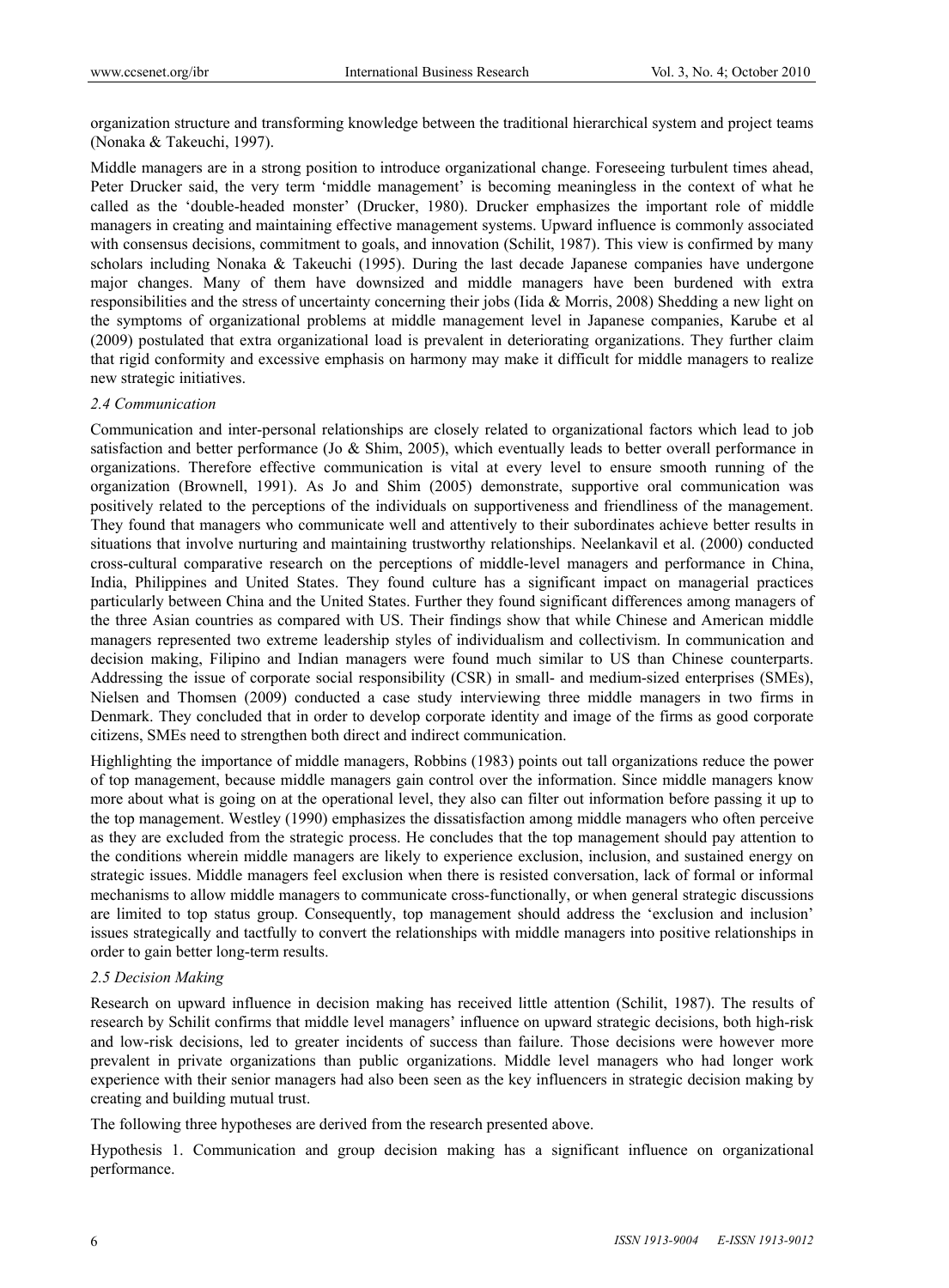organization structure and transforming knowledge between the traditional hierarchical system and project teams (Nonaka & Takeuchi, 1997).

Middle managers are in a strong position to introduce organizational change. Foreseeing turbulent times ahead, Peter Drucker said, the very term 'middle management' is becoming meaningless in the context of what he called as the 'double-headed monster' (Drucker, 1980). Drucker emphasizes the important role of middle managers in creating and maintaining effective management systems. Upward influence is commonly associated with consensus decisions, commitment to goals, and innovation (Schilit, 1987). This view is confirmed by many scholars including Nonaka & Takeuchi (1995). During the last decade Japanese companies have undergone major changes. Many of them have downsized and middle managers have been burdened with extra responsibilities and the stress of uncertainty concerning their jobs (Iida & Morris, 2008) Shedding a new light on the symptoms of organizational problems at middle management level in Japanese companies, Karube et al (2009) postulated that extra organizational load is prevalent in deteriorating organizations. They further claim that rigid conformity and excessive emphasis on harmony may make it difficult for middle managers to realize new strategic initiatives.

#### *2.4 Communication*

Communication and inter-personal relationships are closely related to organizational factors which lead to job satisfaction and better performance (Jo & Shim, 2005), which eventually leads to better overall performance in organizations. Therefore effective communication is vital at every level to ensure smooth running of the organization (Brownell, 1991). As Jo and Shim (2005) demonstrate, supportive oral communication was positively related to the perceptions of the individuals on supportiveness and friendliness of the management. They found that managers who communicate well and attentively to their subordinates achieve better results in situations that involve nurturing and maintaining trustworthy relationships. Neelankavil et al. (2000) conducted cross-cultural comparative research on the perceptions of middle-level managers and performance in China, India, Philippines and United States. They found culture has a significant impact on managerial practices particularly between China and the United States. Further they found significant differences among managers of the three Asian countries as compared with US. Their findings show that while Chinese and American middle managers represented two extreme leadership styles of individualism and collectivism. In communication and decision making, Filipino and Indian managers were found much similar to US than Chinese counterparts. Addressing the issue of corporate social responsibility (CSR) in small- and medium-sized enterprises (SMEs), Nielsen and Thomsen (2009) conducted a case study interviewing three middle managers in two firms in Denmark. They concluded that in order to develop corporate identity and image of the firms as good corporate citizens, SMEs need to strengthen both direct and indirect communication.

Highlighting the importance of middle managers, Robbins (1983) points out tall organizations reduce the power of top management, because middle managers gain control over the information. Since middle managers know more about what is going on at the operational level, they also can filter out information before passing it up to the top management. Westley (1990) emphasizes the dissatisfaction among middle managers who often perceive as they are excluded from the strategic process. He concludes that the top management should pay attention to the conditions wherein middle managers are likely to experience exclusion, inclusion, and sustained energy on strategic issues. Middle managers feel exclusion when there is resisted conversation, lack of formal or informal mechanisms to allow middle managers to communicate cross-functionally, or when general strategic discussions are limited to top status group. Consequently, top management should address the 'exclusion and inclusion' issues strategically and tactfully to convert the relationships with middle managers into positive relationships in order to gain better long-term results.

#### *2.5 Decision Making*

Research on upward influence in decision making has received little attention (Schilit, 1987). The results of research by Schilit confirms that middle level managers' influence on upward strategic decisions, both high-risk and low-risk decisions, led to greater incidents of success than failure. Those decisions were however more prevalent in private organizations than public organizations. Middle level managers who had longer work experience with their senior managers had also been seen as the key influencers in strategic decision making by creating and building mutual trust.

The following three hypotheses are derived from the research presented above.

Hypothesis 1. Communication and group decision making has a significant influence on organizational performance.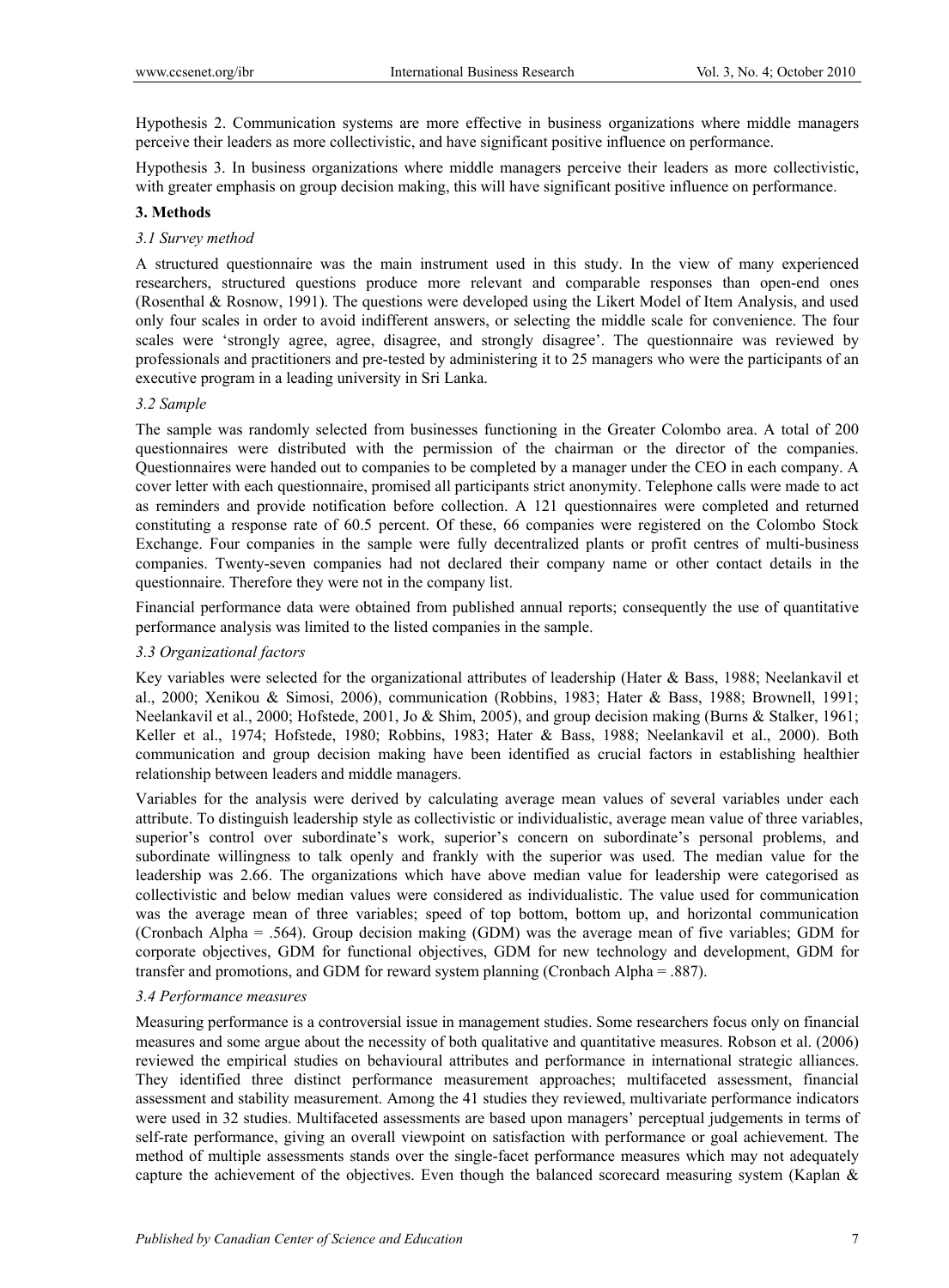Hypothesis 2. Communication systems are more effective in business organizations where middle managers perceive their leaders as more collectivistic, and have significant positive influence on performance.

Hypothesis 3. In business organizations where middle managers perceive their leaders as more collectivistic, with greater emphasis on group decision making, this will have significant positive influence on performance.

## **3. Methods**

## *3.1 Survey method*

A structured questionnaire was the main instrument used in this study. In the view of many experienced researchers, structured questions produce more relevant and comparable responses than open-end ones (Rosenthal & Rosnow, 1991). The questions were developed using the Likert Model of Item Analysis, and used only four scales in order to avoid indifferent answers, or selecting the middle scale for convenience. The four scales were 'strongly agree, agree, disagree, and strongly disagree'. The questionnaire was reviewed by professionals and practitioners and pre-tested by administering it to 25 managers who were the participants of an executive program in a leading university in Sri Lanka.

# *3.2 Sample*

The sample was randomly selected from businesses functioning in the Greater Colombo area. A total of 200 questionnaires were distributed with the permission of the chairman or the director of the companies. Questionnaires were handed out to companies to be completed by a manager under the CEO in each company. A cover letter with each questionnaire, promised all participants strict anonymity. Telephone calls were made to act as reminders and provide notification before collection. A 121 questionnaires were completed and returned constituting a response rate of 60.5 percent. Of these, 66 companies were registered on the Colombo Stock Exchange. Four companies in the sample were fully decentralized plants or profit centres of multi-business companies. Twenty-seven companies had not declared their company name or other contact details in the questionnaire. Therefore they were not in the company list.

Financial performance data were obtained from published annual reports; consequently the use of quantitative performance analysis was limited to the listed companies in the sample.

## *3.3 Organizational factors*

Key variables were selected for the organizational attributes of leadership (Hater & Bass, 1988; Neelankavil et al., 2000; Xenikou & Simosi, 2006), communication (Robbins, 1983; Hater & Bass, 1988; Brownell, 1991; Neelankavil et al., 2000; Hofstede, 2001, Jo & Shim, 2005), and group decision making (Burns & Stalker, 1961; Keller et al., 1974; Hofstede, 1980; Robbins, 1983; Hater & Bass, 1988; Neelankavil et al., 2000). Both communication and group decision making have been identified as crucial factors in establishing healthier relationship between leaders and middle managers.

Variables for the analysis were derived by calculating average mean values of several variables under each attribute. To distinguish leadership style as collectivistic or individualistic, average mean value of three variables, superior's control over subordinate's work, superior's concern on subordinate's personal problems, and subordinate willingness to talk openly and frankly with the superior was used. The median value for the leadership was 2.66. The organizations which have above median value for leadership were categorised as collectivistic and below median values were considered as individualistic. The value used for communication was the average mean of three variables; speed of top bottom, bottom up, and horizontal communication (Cronbach Alpha = .564). Group decision making (GDM) was the average mean of five variables; GDM for corporate objectives, GDM for functional objectives, GDM for new technology and development, GDM for transfer and promotions, and GDM for reward system planning (Cronbach Alpha = .887).

# *3.4 Performance measures*

Measuring performance is a controversial issue in management studies. Some researchers focus only on financial measures and some argue about the necessity of both qualitative and quantitative measures. Robson et al. (2006) reviewed the empirical studies on behavioural attributes and performance in international strategic alliances. They identified three distinct performance measurement approaches; multifaceted assessment, financial assessment and stability measurement. Among the 41 studies they reviewed, multivariate performance indicators were used in 32 studies. Multifaceted assessments are based upon managers' perceptual judgements in terms of self-rate performance, giving an overall viewpoint on satisfaction with performance or goal achievement. The method of multiple assessments stands over the single-facet performance measures which may not adequately capture the achievement of the objectives. Even though the balanced scorecard measuring system (Kaplan  $\&$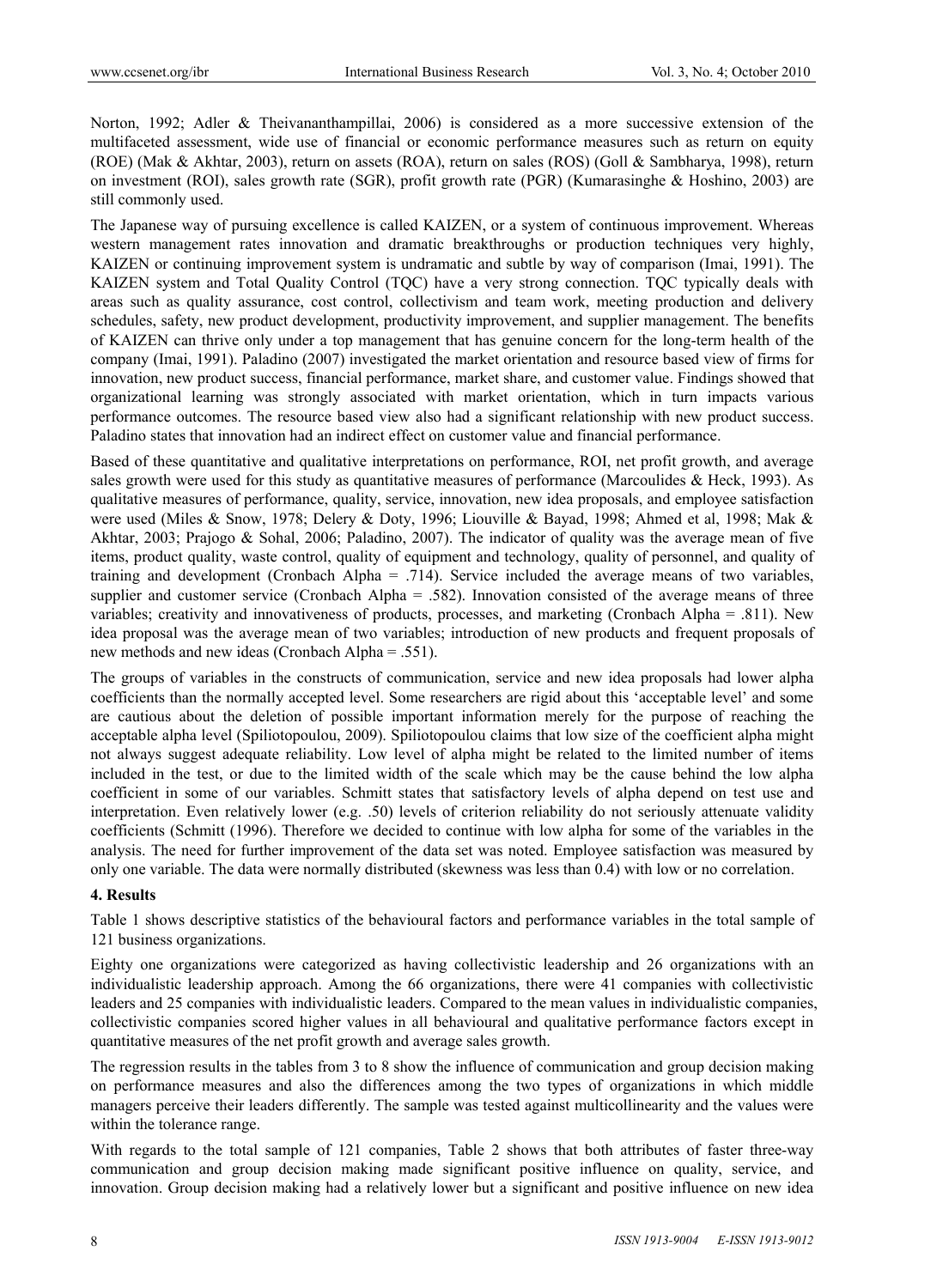Norton, 1992; Adler & Theivananthampillai, 2006) is considered as a more successive extension of the multifaceted assessment, wide use of financial or economic performance measures such as return on equity (ROE) (Mak & Akhtar, 2003), return on assets (ROA), return on sales (ROS) (Goll & Sambharya, 1998), return on investment (ROI), sales growth rate (SGR), profit growth rate (PGR) (Kumarasinghe & Hoshino, 2003) are still commonly used.

The Japanese way of pursuing excellence is called KAIZEN, or a system of continuous improvement. Whereas western management rates innovation and dramatic breakthroughs or production techniques very highly, KAIZEN or continuing improvement system is undramatic and subtle by way of comparison (Imai, 1991). The KAIZEN system and Total Quality Control (TQC) have a very strong connection. TQC typically deals with areas such as quality assurance, cost control, collectivism and team work, meeting production and delivery schedules, safety, new product development, productivity improvement, and supplier management. The benefits of KAIZEN can thrive only under a top management that has genuine concern for the long-term health of the company (Imai, 1991). Paladino (2007) investigated the market orientation and resource based view of firms for innovation, new product success, financial performance, market share, and customer value. Findings showed that organizational learning was strongly associated with market orientation, which in turn impacts various performance outcomes. The resource based view also had a significant relationship with new product success. Paladino states that innovation had an indirect effect on customer value and financial performance.

Based of these quantitative and qualitative interpretations on performance, ROI, net profit growth, and average sales growth were used for this study as quantitative measures of performance (Marcoulides & Heck, 1993). As qualitative measures of performance, quality, service, innovation, new idea proposals, and employee satisfaction were used (Miles & Snow, 1978; Delery & Doty, 1996; Liouville & Bayad, 1998; Ahmed et al, 1998; Mak & Akhtar, 2003; Prajogo & Sohal, 2006; Paladino, 2007). The indicator of quality was the average mean of five items, product quality, waste control, quality of equipment and technology, quality of personnel, and quality of training and development (Cronbach Alpha = .714). Service included the average means of two variables, supplier and customer service (Cronbach Alpha = .582). Innovation consisted of the average means of three variables; creativity and innovativeness of products, processes, and marketing (Cronbach Alpha = .811). New idea proposal was the average mean of two variables; introduction of new products and frequent proposals of new methods and new ideas (Cronbach Alpha = .551).

The groups of variables in the constructs of communication, service and new idea proposals had lower alpha coefficients than the normally accepted level. Some researchers are rigid about this 'acceptable level' and some are cautious about the deletion of possible important information merely for the purpose of reaching the acceptable alpha level (Spiliotopoulou, 2009). Spiliotopoulou claims that low size of the coefficient alpha might not always suggest adequate reliability. Low level of alpha might be related to the limited number of items included in the test, or due to the limited width of the scale which may be the cause behind the low alpha coefficient in some of our variables. Schmitt states that satisfactory levels of alpha depend on test use and interpretation. Even relatively lower (e.g. .50) levels of criterion reliability do not seriously attenuate validity coefficients (Schmitt (1996). Therefore we decided to continue with low alpha for some of the variables in the analysis. The need for further improvement of the data set was noted. Employee satisfaction was measured by only one variable. The data were normally distributed (skewness was less than 0.4) with low or no correlation.

# **4. Results**

Table 1 shows descriptive statistics of the behavioural factors and performance variables in the total sample of 121 business organizations.

Eighty one organizations were categorized as having collectivistic leadership and 26 organizations with an individualistic leadership approach. Among the 66 organizations, there were 41 companies with collectivistic leaders and 25 companies with individualistic leaders. Compared to the mean values in individualistic companies, collectivistic companies scored higher values in all behavioural and qualitative performance factors except in quantitative measures of the net profit growth and average sales growth.

The regression results in the tables from 3 to 8 show the influence of communication and group decision making on performance measures and also the differences among the two types of organizations in which middle managers perceive their leaders differently. The sample was tested against multicollinearity and the values were within the tolerance range.

With regards to the total sample of 121 companies, Table 2 shows that both attributes of faster three-way communication and group decision making made significant positive influence on quality, service, and innovation. Group decision making had a relatively lower but a significant and positive influence on new idea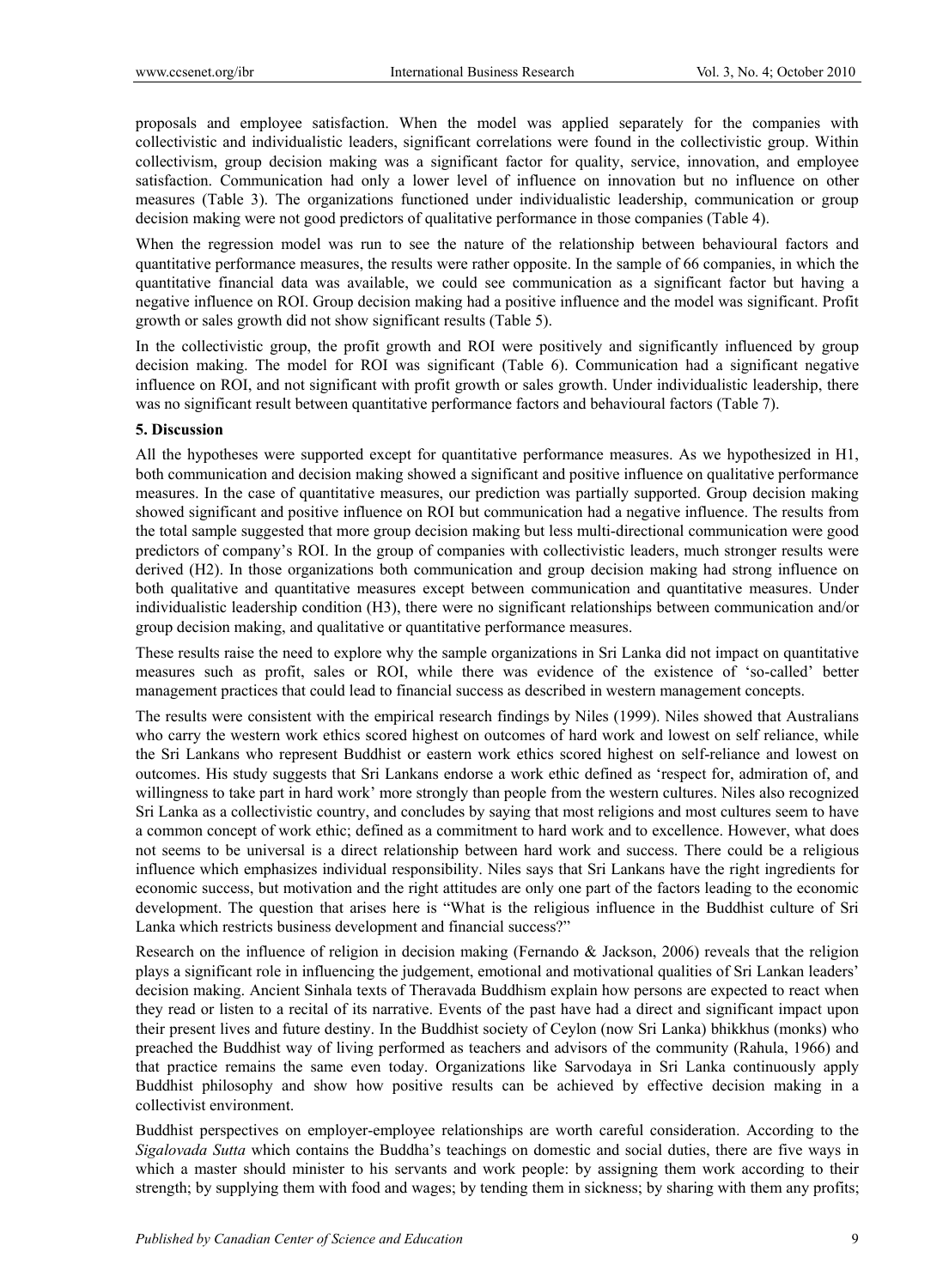proposals and employee satisfaction. When the model was applied separately for the companies with collectivistic and individualistic leaders, significant correlations were found in the collectivistic group. Within collectivism, group decision making was a significant factor for quality, service, innovation, and employee satisfaction. Communication had only a lower level of influence on innovation but no influence on other measures (Table 3). The organizations functioned under individualistic leadership, communication or group decision making were not good predictors of qualitative performance in those companies (Table 4).

When the regression model was run to see the nature of the relationship between behavioural factors and quantitative performance measures, the results were rather opposite. In the sample of 66 companies, in which the quantitative financial data was available, we could see communication as a significant factor but having a negative influence on ROI. Group decision making had a positive influence and the model was significant. Profit growth or sales growth did not show significant results (Table 5).

In the collectivistic group, the profit growth and ROI were positively and significantly influenced by group decision making. The model for ROI was significant (Table 6). Communication had a significant negative influence on ROI, and not significant with profit growth or sales growth. Under individualistic leadership, there was no significant result between quantitative performance factors and behavioural factors (Table 7).

## **5. Discussion**

All the hypotheses were supported except for quantitative performance measures. As we hypothesized in H1, both communication and decision making showed a significant and positive influence on qualitative performance measures. In the case of quantitative measures, our prediction was partially supported. Group decision making showed significant and positive influence on ROI but communication had a negative influence. The results from the total sample suggested that more group decision making but less multi-directional communication were good predictors of company's ROI. In the group of companies with collectivistic leaders, much stronger results were derived (H2). In those organizations both communication and group decision making had strong influence on both qualitative and quantitative measures except between communication and quantitative measures. Under individualistic leadership condition (H3), there were no significant relationships between communication and/or group decision making, and qualitative or quantitative performance measures.

These results raise the need to explore why the sample organizations in Sri Lanka did not impact on quantitative measures such as profit, sales or ROI, while there was evidence of the existence of 'so-called' better management practices that could lead to financial success as described in western management concepts.

The results were consistent with the empirical research findings by Niles (1999). Niles showed that Australians who carry the western work ethics scored highest on outcomes of hard work and lowest on self reliance, while the Sri Lankans who represent Buddhist or eastern work ethics scored highest on self-reliance and lowest on outcomes. His study suggests that Sri Lankans endorse a work ethic defined as 'respect for, admiration of, and willingness to take part in hard work' more strongly than people from the western cultures. Niles also recognized Sri Lanka as a collectivistic country, and concludes by saying that most religions and most cultures seem to have a common concept of work ethic; defined as a commitment to hard work and to excellence. However, what does not seems to be universal is a direct relationship between hard work and success. There could be a religious influence which emphasizes individual responsibility. Niles says that Sri Lankans have the right ingredients for economic success, but motivation and the right attitudes are only one part of the factors leading to the economic development. The question that arises here is "What is the religious influence in the Buddhist culture of Sri Lanka which restricts business development and financial success?"

Research on the influence of religion in decision making (Fernando & Jackson, 2006) reveals that the religion plays a significant role in influencing the judgement, emotional and motivational qualities of Sri Lankan leaders' decision making. Ancient Sinhala texts of Theravada Buddhism explain how persons are expected to react when they read or listen to a recital of its narrative. Events of the past have had a direct and significant impact upon their present lives and future destiny. In the Buddhist society of Ceylon (now Sri Lanka) bhikkhus (monks) who preached the Buddhist way of living performed as teachers and advisors of the community (Rahula, 1966) and that practice remains the same even today. Organizations like Sarvodaya in Sri Lanka continuously apply Buddhist philosophy and show how positive results can be achieved by effective decision making in a collectivist environment.

Buddhist perspectives on employer-employee relationships are worth careful consideration. According to the *Sigalovada Sutta* which contains the Buddha's teachings on domestic and social duties, there are five ways in which a master should minister to his servants and work people: by assigning them work according to their strength; by supplying them with food and wages; by tending them in sickness; by sharing with them any profits;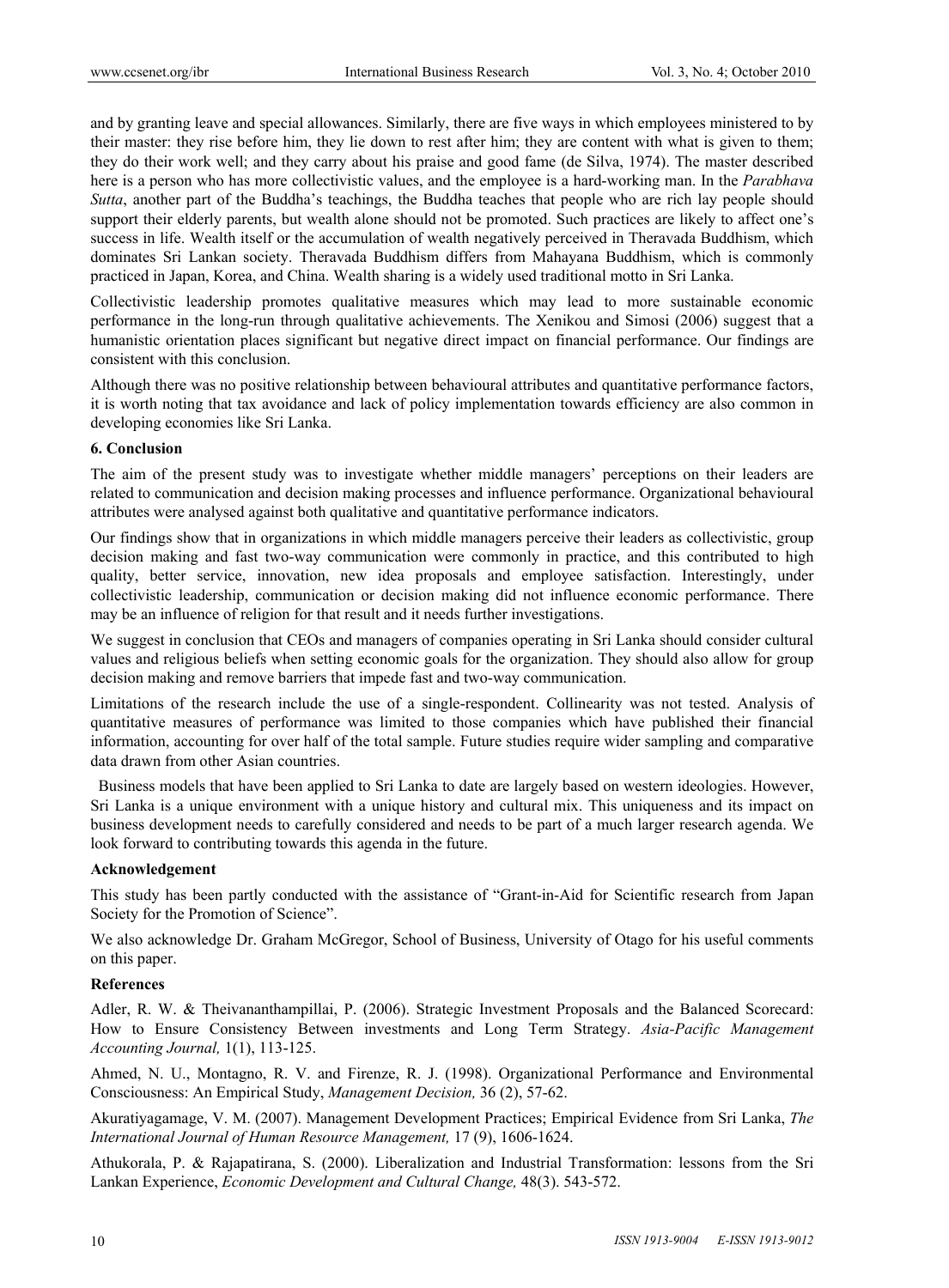and by granting leave and special allowances. Similarly, there are five ways in which employees ministered to by their master: they rise before him, they lie down to rest after him; they are content with what is given to them; they do their work well; and they carry about his praise and good fame (de Silva, 1974). The master described here is a person who has more collectivistic values, and the employee is a hard-working man. In the *Parabhava Sutta*, another part of the Buddha's teachings, the Buddha teaches that people who are rich lay people should support their elderly parents, but wealth alone should not be promoted. Such practices are likely to affect one's success in life. Wealth itself or the accumulation of wealth negatively perceived in Theravada Buddhism, which dominates Sri Lankan society. Theravada Buddhism differs from Mahayana Buddhism, which is commonly practiced in Japan, Korea, and China. Wealth sharing is a widely used traditional motto in Sri Lanka.

Collectivistic leadership promotes qualitative measures which may lead to more sustainable economic performance in the long-run through qualitative achievements. The Xenikou and Simosi (2006) suggest that a humanistic orientation places significant but negative direct impact on financial performance. Our findings are consistent with this conclusion.

Although there was no positive relationship between behavioural attributes and quantitative performance factors, it is worth noting that tax avoidance and lack of policy implementation towards efficiency are also common in developing economies like Sri Lanka.

#### **6. Conclusion**

The aim of the present study was to investigate whether middle managers' perceptions on their leaders are related to communication and decision making processes and influence performance. Organizational behavioural attributes were analysed against both qualitative and quantitative performance indicators.

Our findings show that in organizations in which middle managers perceive their leaders as collectivistic, group decision making and fast two-way communication were commonly in practice, and this contributed to high quality, better service, innovation, new idea proposals and employee satisfaction. Interestingly, under collectivistic leadership, communication or decision making did not influence economic performance. There may be an influence of religion for that result and it needs further investigations.

We suggest in conclusion that CEOs and managers of companies operating in Sri Lanka should consider cultural values and religious beliefs when setting economic goals for the organization. They should also allow for group decision making and remove barriers that impede fast and two-way communication.

Limitations of the research include the use of a single-respondent. Collinearity was not tested. Analysis of quantitative measures of performance was limited to those companies which have published their financial information, accounting for over half of the total sample. Future studies require wider sampling and comparative data drawn from other Asian countries.

 Business models that have been applied to Sri Lanka to date are largely based on western ideologies. However, Sri Lanka is a unique environment with a unique history and cultural mix. This uniqueness and its impact on business development needs to carefully considered and needs to be part of a much larger research agenda. We look forward to contributing towards this agenda in the future.

## **Acknowledgement**

This study has been partly conducted with the assistance of "Grant-in-Aid for Scientific research from Japan Society for the Promotion of Science".

We also acknowledge Dr. Graham McGregor, School of Business, University of Otago for his useful comments on this paper.

#### **References**

Adler, R. W. & Theivananthampillai, P. (2006). Strategic Investment Proposals and the Balanced Scorecard: How to Ensure Consistency Between investments and Long Term Strategy. *Asia-Pacific Management Accounting Journal,* 1(1), 113-125.

Ahmed, N. U., Montagno, R. V. and Firenze, R. J. (1998). Organizational Performance and Environmental Consciousness: An Empirical Study, *Management Decision,* 36 (2), 57-62.

Akuratiyagamage, V. M. (2007). Management Development Practices; Empirical Evidence from Sri Lanka, *The International Journal of Human Resource Management,* 17 (9), 1606-1624.

Athukorala, P. & Rajapatirana, S. (2000). Liberalization and Industrial Transformation: lessons from the Sri Lankan Experience, *Economic Development and Cultural Change,* 48(3). 543-572.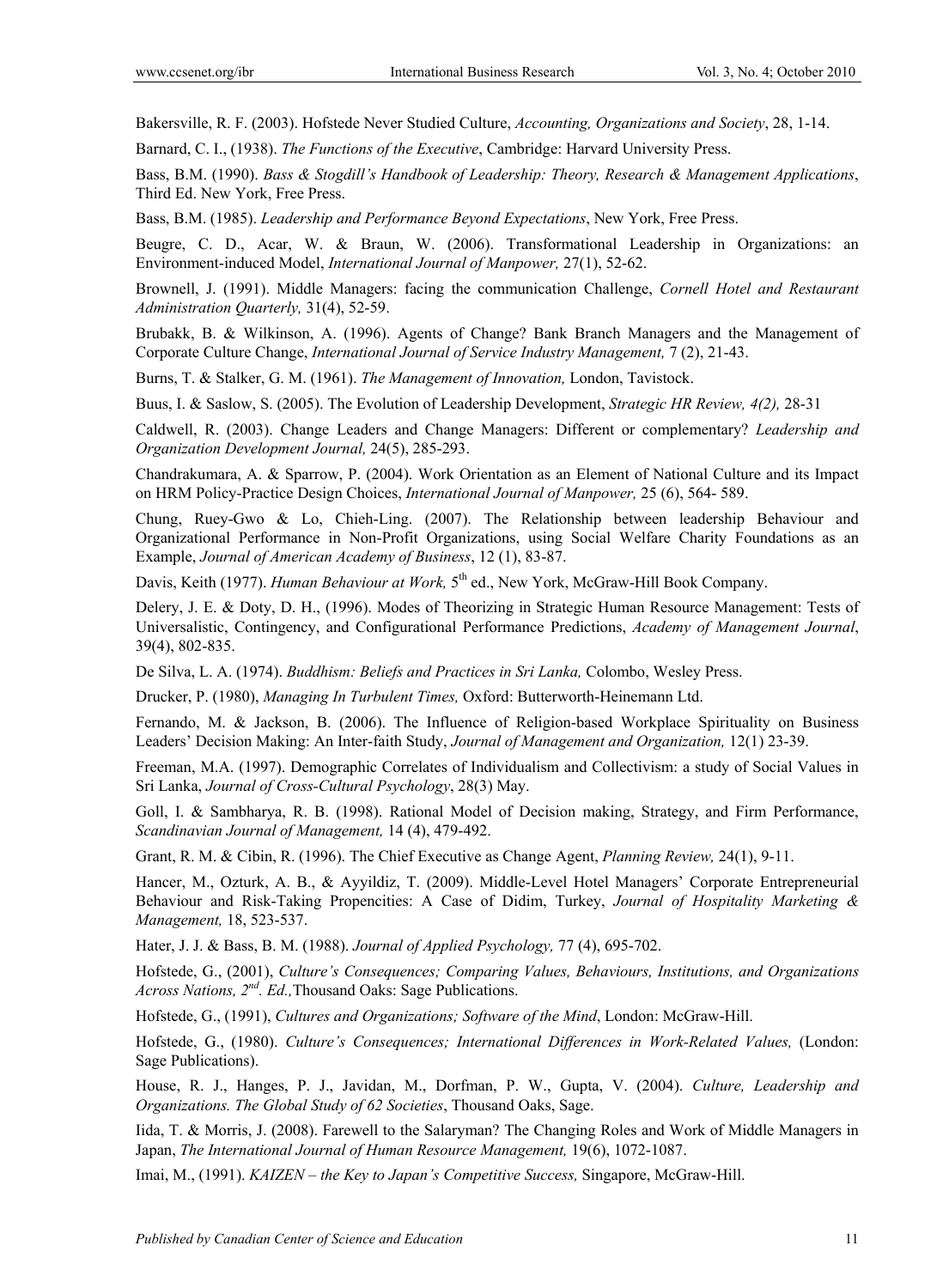Bakersville, R. F. (2003). Hofstede Never Studied Culture, *Accounting, Organizations and Society*, 28, 1-14.

Barnard, C. I., (1938). *The Functions of the Executive*, Cambridge: Harvard University Press.

Bass, B.M. (1990). *Bass & Stogdill's Handbook of Leadership: Theory, Research & Management Applications*, Third Ed. New York, Free Press.

Bass, B.M. (1985). *Leadership and Performance Beyond Expectations*, New York, Free Press.

Beugre, C. D., Acar, W. & Braun, W. (2006). Transformational Leadership in Organizations: an Environment-induced Model, *International Journal of Manpower,* 27(1), 52-62.

Brownell, J. (1991). Middle Managers: facing the communication Challenge, *Cornell Hotel and Restaurant Administration Quarterly,* 31(4), 52-59.

Brubakk, B. & Wilkinson, A. (1996). Agents of Change? Bank Branch Managers and the Management of Corporate Culture Change, *International Journal of Service Industry Management,* 7 (2), 21-43.

Burns, T. & Stalker, G. M. (1961). *The Management of Innovation,* London, Tavistock.

Buus, I. & Saslow, S. (2005). The Evolution of Leadership Development, *Strategic HR Review, 4(2),* 28-31

Caldwell, R. (2003). Change Leaders and Change Managers: Different or complementary? *Leadership and Organization Development Journal,* 24(5), 285-293.

Chandrakumara, A. & Sparrow, P. (2004). Work Orientation as an Element of National Culture and its Impact on HRM Policy-Practice Design Choices, *International Journal of Manpower,* 25 (6), 564- 589.

Chung, Ruey-Gwo & Lo, Chieh-Ling. (2007). The Relationship between leadership Behaviour and Organizational Performance in Non-Profit Organizations, using Social Welfare Charity Foundations as an Example, *Journal of American Academy of Business*, 12 (1), 83-87.

Davis, Keith (1977). *Human Behaviour at Work*, 5<sup>th</sup> ed., New York, McGraw-Hill Book Company.

Delery, J. E. & Doty, D. H., (1996). Modes of Theorizing in Strategic Human Resource Management: Tests of Universalistic, Contingency, and Configurational Performance Predictions, *Academy of Management Journal*, 39(4), 802-835.

De Silva, L. A. (1974). *Buddhism: Beliefs and Practices in Sri Lanka,* Colombo, Wesley Press.

Drucker, P. (1980), *Managing In Turbulent Times,* Oxford: Butterworth-Heinemann Ltd.

Fernando, M. & Jackson, B. (2006). The Influence of Religion-based Workplace Spirituality on Business Leaders' Decision Making: An Inter-faith Study, *Journal of Management and Organization,* 12(1) 23-39.

Freeman, M.A. (1997). Demographic Correlates of Individualism and Collectivism: a study of Social Values in Sri Lanka, *Journal of Cross-Cultural Psychology*, 28(3) May.

Goll, I. & Sambharya, R. B. (1998). Rational Model of Decision making, Strategy, and Firm Performance, *Scandinavian Journal of Management,* 14 (4), 479-492.

Grant, R. M. & Cibin, R. (1996). The Chief Executive as Change Agent, *Planning Review,* 24(1), 9-11.

Hancer, M., Ozturk, A. B., & Ayyildiz, T. (2009). Middle-Level Hotel Managers' Corporate Entrepreneurial Behaviour and Risk-Taking Propencities: A Case of Didim, Turkey, *Journal of Hospitality Marketing & Management,* 18, 523-537.

Hater, J. J. & Bass, B. M. (1988). *Journal of Applied Psychology,* 77 (4), 695-702.

Hofstede, G., (2001), *Culture's Consequences; Comparing Values, Behaviours, Institutions, and Organizations Across Nations, 2nd. Ed.,*Thousand Oaks: Sage Publications.

Hofstede, G., (1991), *Cultures and Organizations; Software of the Mind*, London: McGraw-Hill.

Hofstede, G., (1980). *Culture's Consequences; International Differences in Work-Related Values,* (London: Sage Publications).

House, R. J., Hanges, P. J., Javidan, M., Dorfman, P. W., Gupta, V. (2004). *Culture, Leadership and Organizations. The Global Study of 62 Societies*, Thousand Oaks, Sage.

Iida, T. & Morris, J. (2008). Farewell to the Salaryman? The Changing Roles and Work of Middle Managers in Japan, *The International Journal of Human Resource Management,* 19(6), 1072-1087.

Imai, M., (1991). *KAIZEN – the Key to Japan's Competitive Success,* Singapore, McGraw-Hill.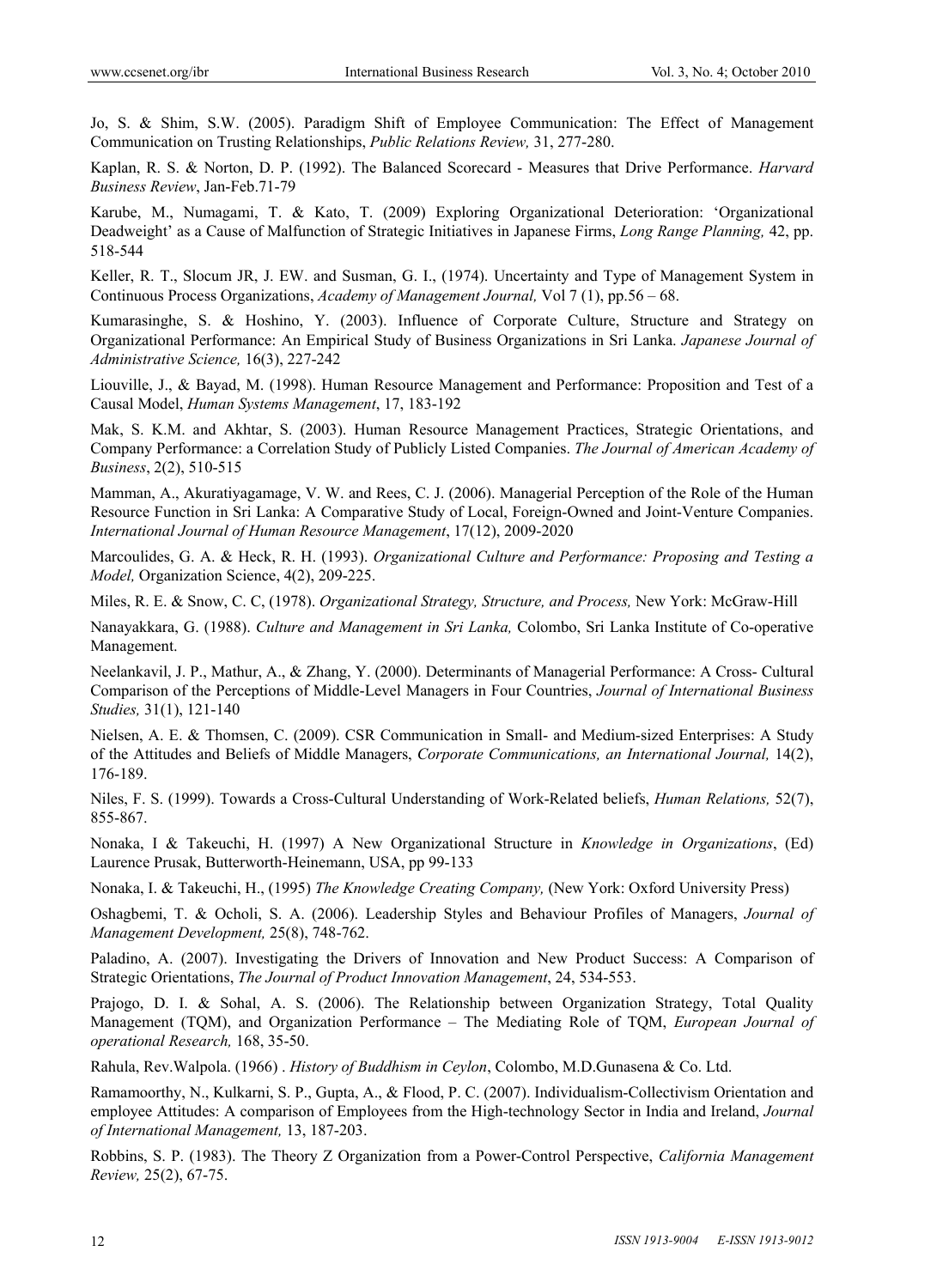Jo, S. & Shim, S.W. (2005). Paradigm Shift of Employee Communication: The Effect of Management Communication on Trusting Relationships, *Public Relations Review,* 31, 277-280.

Kaplan, R. S. & Norton, D. P. (1992). The Balanced Scorecard - Measures that Drive Performance. *Harvard Business Review*, Jan-Feb.71-79

Karube, M., Numagami, T. & Kato, T. (2009) Exploring Organizational Deterioration: 'Organizational Deadweight' as a Cause of Malfunction of Strategic Initiatives in Japanese Firms, *Long Range Planning,* 42, pp. 518-544

Keller, R. T., Slocum JR, J. EW. and Susman, G. I., (1974). Uncertainty and Type of Management System in Continuous Process Organizations, *Academy of Management Journal,* Vol 7 (1), pp.56 – 68.

Kumarasinghe, S. & Hoshino, Y. (2003). Influence of Corporate Culture, Structure and Strategy on Organizational Performance: An Empirical Study of Business Organizations in Sri Lanka. *Japanese Journal of Administrative Science,* 16(3), 227-242

Liouville, J., & Bayad, M. (1998). Human Resource Management and Performance: Proposition and Test of a Causal Model, *Human Systems Management*, 17, 183-192

Mak, S. K.M. and Akhtar, S. (2003). Human Resource Management Practices, Strategic Orientations, and Company Performance: a Correlation Study of Publicly Listed Companies. *The Journal of American Academy of Business*, 2(2), 510-515

Mamman, A., Akuratiyagamage, V. W. and Rees, C. J. (2006). Managerial Perception of the Role of the Human Resource Function in Sri Lanka: A Comparative Study of Local, Foreign-Owned and Joint-Venture Companies. *International Journal of Human Resource Management*, 17(12), 2009-2020

Marcoulides, G. A. & Heck, R. H. (1993). *Organizational Culture and Performance: Proposing and Testing a Model,* Organization Science, 4(2), 209-225.

Miles, R. E. & Snow, C. C, (1978). *Organizational Strategy, Structure, and Process,* New York: McGraw-Hill

Nanayakkara, G. (1988). *Culture and Management in Sri Lanka,* Colombo, Sri Lanka Institute of Co-operative Management.

Neelankavil, J. P., Mathur, A., & Zhang, Y. (2000). Determinants of Managerial Performance: A Cross- Cultural Comparison of the Perceptions of Middle-Level Managers in Four Countries, *Journal of International Business Studies,* 31(1), 121-140

Nielsen, A. E. & Thomsen, C. (2009). CSR Communication in Small- and Medium-sized Enterprises: A Study of the Attitudes and Beliefs of Middle Managers, *Corporate Communications, an International Journal,* 14(2), 176-189.

Niles, F. S. (1999). Towards a Cross-Cultural Understanding of Work-Related beliefs, *Human Relations,* 52(7), 855-867.

Nonaka, I & Takeuchi, H. (1997) A New Organizational Structure in *Knowledge in Organizations*, (Ed) Laurence Prusak, Butterworth-Heinemann, USA, pp 99-133

Nonaka, I. & Takeuchi, H., (1995) *The Knowledge Creating Company,* (New York: Oxford University Press)

Oshagbemi, T. & Ocholi, S. A. (2006). Leadership Styles and Behaviour Profiles of Managers, *Journal of Management Development,* 25(8), 748-762.

Paladino, A. (2007). Investigating the Drivers of Innovation and New Product Success: A Comparison of Strategic Orientations, *The Journal of Product Innovation Management*, 24, 534-553.

Prajogo, D. I. & Sohal, A. S. (2006). The Relationship between Organization Strategy, Total Quality Management (TQM), and Organization Performance – The Mediating Role of TQM, *European Journal of operational Research,* 168, 35-50.

Rahula, Rev.Walpola. (1966) . *History of Buddhism in Ceylon*, Colombo, M.D.Gunasena & Co. Ltd.

Ramamoorthy, N., Kulkarni, S. P., Gupta, A., & Flood, P. C. (2007). Individualism-Collectivism Orientation and employee Attitudes: A comparison of Employees from the High-technology Sector in India and Ireland, *Journal of International Management,* 13, 187-203.

Robbins, S. P. (1983). The Theory Z Organization from a Power-Control Perspective, *California Management Review,* 25(2), 67-75.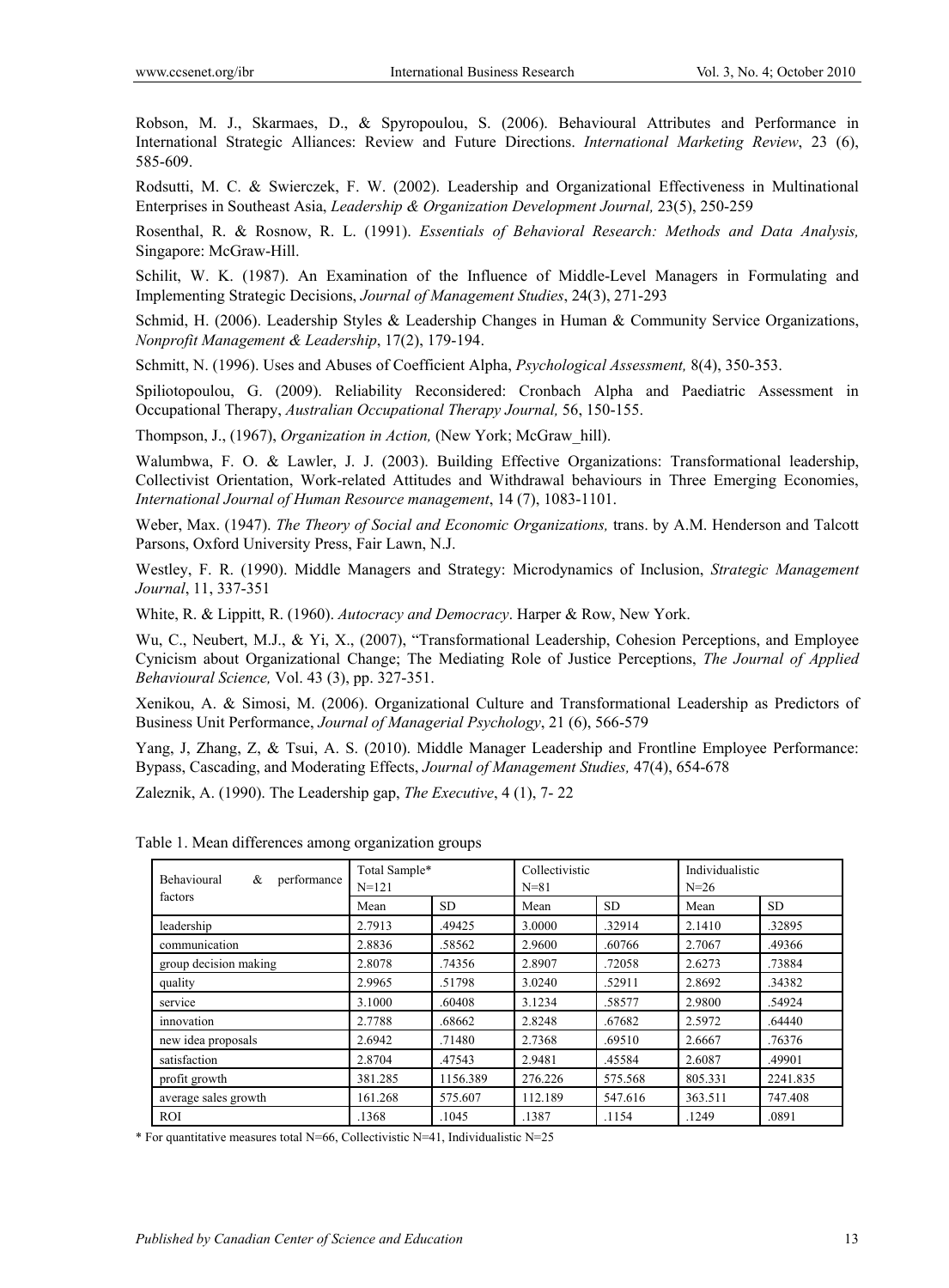Robson, M. J., Skarmaes, D., & Spyropoulou, S. (2006). Behavioural Attributes and Performance in International Strategic Alliances: Review and Future Directions. *International Marketing Review*, 23 (6), 585-609.

Rodsutti, M. C. & Swierczek, F. W. (2002). Leadership and Organizational Effectiveness in Multinational Enterprises in Southeast Asia, *Leadership & Organization Development Journal,* 23(5), 250-259

Rosenthal, R. & Rosnow, R. L. (1991). *Essentials of Behavioral Research: Methods and Data Analysis,*  Singapore: McGraw-Hill.

Schilit, W. K. (1987). An Examination of the Influence of Middle-Level Managers in Formulating and Implementing Strategic Decisions, *Journal of Management Studies*, 24(3), 271-293

Schmid, H. (2006). Leadership Styles & Leadership Changes in Human & Community Service Organizations, *Nonprofit Management & Leadership*, 17(2), 179-194.

Schmitt, N. (1996). Uses and Abuses of Coefficient Alpha, *Psychological Assessment,* 8(4), 350-353.

Spiliotopoulou, G. (2009). Reliability Reconsidered: Cronbach Alpha and Paediatric Assessment in Occupational Therapy, *Australian Occupational Therapy Journal,* 56, 150-155.

Thompson, J., (1967), *Organization in Action,* (New York; McGraw\_hill).

Walumbwa, F. O. & Lawler, J. J. (2003). Building Effective Organizations: Transformational leadership, Collectivist Orientation, Work-related Attitudes and Withdrawal behaviours in Three Emerging Economies, *International Journal of Human Resource management*, 14 (7), 1083-1101.

Weber, Max. (1947). *The Theory of Social and Economic Organizations,* trans. by A.M. Henderson and Talcott Parsons, Oxford University Press, Fair Lawn, N.J.

Westley, F. R. (1990). Middle Managers and Strategy: Microdynamics of Inclusion, *Strategic Management Journal*, 11, 337-351

White, R. & Lippitt, R. (1960). *Autocracy and Democracy*. Harper & Row, New York.

Wu, C., Neubert, M.J., & Yi, X., (2007), "Transformational Leadership, Cohesion Perceptions, and Employee Cynicism about Organizational Change; The Mediating Role of Justice Perceptions, *The Journal of Applied Behavioural Science,* Vol. 43 (3), pp. 327-351.

Xenikou, A. & Simosi, M. (2006). Organizational Culture and Transformational Leadership as Predictors of Business Unit Performance, *Journal of Managerial Psychology*, 21 (6), 566-579

Yang, J, Zhang, Z, & Tsui, A. S. (2010). Middle Manager Leadership and Frontline Employee Performance: Bypass, Cascading, and Moderating Effects, *Journal of Management Studies,* 47(4), 654-678

Zaleznik, A. (1990). The Leadership gap, *The Executive*, 4 (1), 7- 22

| Behavioural<br>&<br>performance | Total Sample*<br>$N = 121$ |           | Collectivistic<br>$N = 81$ |           | Individualistic<br>$N = 26$ |           |
|---------------------------------|----------------------------|-----------|----------------------------|-----------|-----------------------------|-----------|
| factors                         | Mean                       | <b>SD</b> | Mean                       | <b>SD</b> | Mean                        | <b>SD</b> |
| leadership                      | 2.7913                     | .49425    | 3.0000                     | .32914    | 2.1410                      | .32895    |
| communication                   | 2.8836                     | .58562    | 2.9600                     | .60766    | 2.7067                      | .49366    |
| group decision making           | 2.8078                     | .74356    | 2.8907                     | .72058    | 2.6273                      | .73884    |
| quality                         | 2.9965                     | .51798    | 3.0240                     | .52911    | 2.8692                      | .34382    |
| service                         | 3.1000                     | .60408    | 3.1234                     | .58577    | 2.9800                      | .54924    |
| innovation                      | 2.7788                     | .68662    | 2.8248                     | .67682    | 2.5972                      | .64440    |
| new idea proposals              | 2.6942                     | .71480    | 2.7368                     | .69510    | 2.6667                      | .76376    |
| satisfaction                    | 2.8704                     | .47543    | 2.9481                     | .45584    | 2.6087                      | .49901    |
| profit growth                   | 381.285                    | 1156.389  | 276.226                    | 575.568   | 805.331                     | 2241.835  |
| average sales growth            | 161.268                    | 575.607   | 112.189                    | 547.616   | 363.511                     | 747.408   |
| <b>ROI</b>                      | .1368                      | .1045     | .1387                      | .1154     | .1249                       | .0891     |

Table 1. Mean differences among organization groups

\* For quantitative measures total N=66, Collectivistic N=41, Individualistic N=25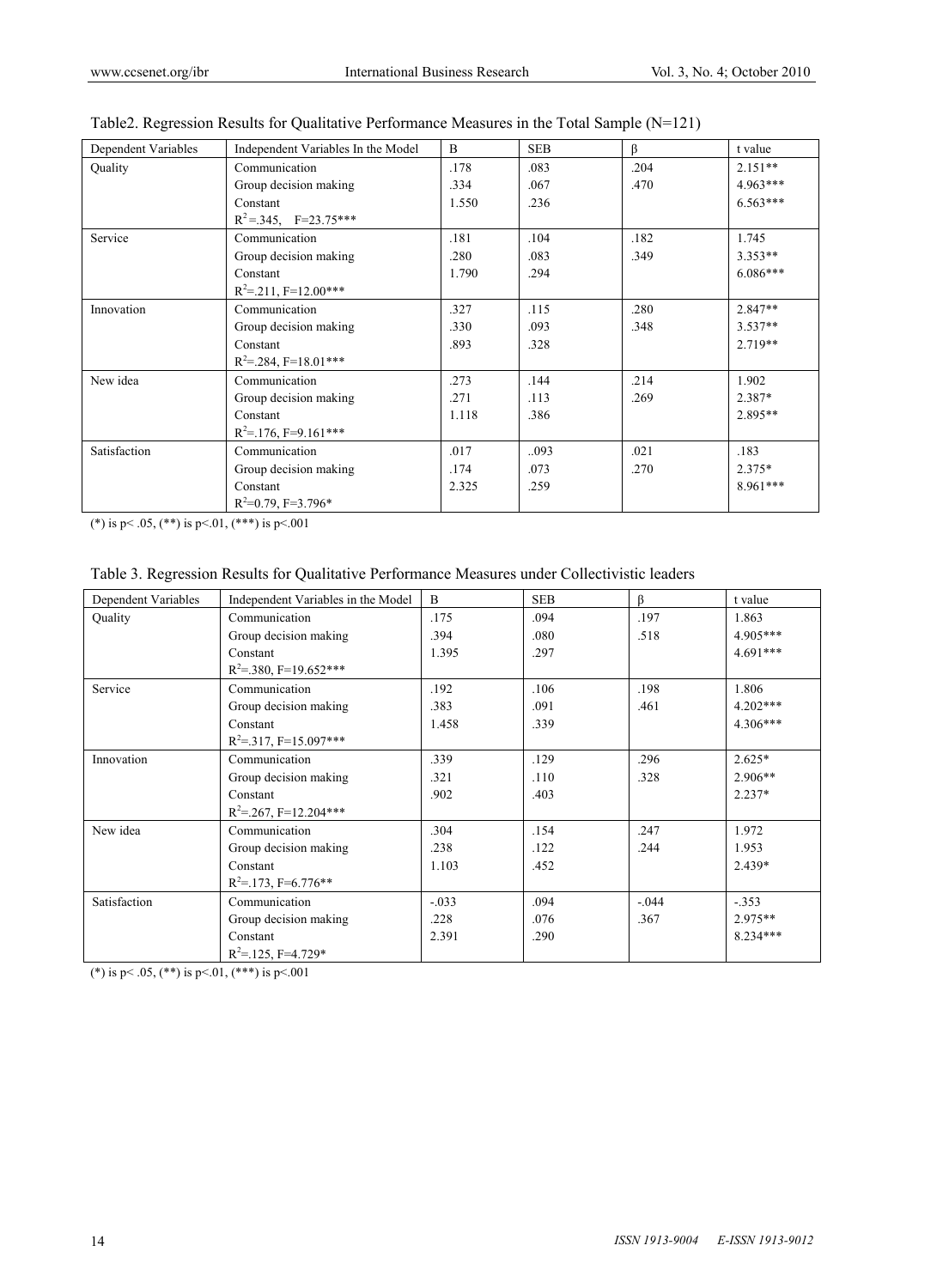| Dependent Variables | Independent Variables In the Model | $\overline{B}$ | <b>SEB</b> | ß    | t value    |
|---------------------|------------------------------------|----------------|------------|------|------------|
| Quality             | Communication                      | .178           | .083       | .204 | $2.151**$  |
|                     | Group decision making              | .334           | .067       | .470 | $4.963***$ |
|                     | Constant                           | 1.550          | .236       |      | $6.563***$ |
|                     | $R^2 = 345$ , $F = 23.75***$       |                |            |      |            |
| Service             | Communication                      | .181           | .104       | .182 | 1.745      |
|                     | Group decision making              | .280           | .083       | .349 | $3.353**$  |
|                     | Constant                           | 1.790          | .294       |      | $6.086***$ |
|                     | $R^2 = 211$ , $F = 12.00$ ***      |                |            |      |            |
| Innovation          | Communication                      | .327           | .115       | .280 | $2.847**$  |
|                     | Group decision making              | .330           | .093       | .348 | $3.537**$  |
|                     | Constant                           | .893           | .328       |      | 2.719**    |
|                     | $R^2 = 284$ , $F = 18.01***$       |                |            |      |            |
| New idea            | Communication                      | .273           | .144       | .214 | 1.902      |
|                     | Group decision making              | .271           | .113       | .269 | 2.387*     |
|                     | Constant                           | 1.118          | .386       |      | $2.895**$  |
|                     | $R^2 = 176$ , F=9.161***           |                |            |      |            |
| Satisfaction        | Communication                      | .017           | 093        | .021 | .183       |
|                     | Group decision making              | .174           | .073       | .270 | $2.375*$   |
|                     | Constant                           | 2.325          | .259       |      | 8.961***   |
|                     | $R^2=0.79$ , F=3.796*              |                |            |      |            |

Table2. Regression Results for Qualitative Performance Measures in the Total Sample (N=121)

(\*) is p< .05, (\*\*) is p<.01, (\*\*\*) is p<.001

Table 3. Regression Results for Qualitative Performance Measures under Collectivistic leaders

| Dependent Variables | Independent Variables in the Model | B       | <b>SEB</b> | β       | t value    |
|---------------------|------------------------------------|---------|------------|---------|------------|
| Quality             | Communication                      | .175    | .094       | .197    | 1.863      |
|                     | Group decision making              | .394    | .080       | .518    | $4.905***$ |
|                     | Constant                           | 1.395   | .297       |         | $4.691***$ |
|                     | $R^2 = 380$ , $F = 19.652$ ***     |         |            |         |            |
| Service             | Communication                      | .192    | .106       | .198    | 1.806      |
|                     | Group decision making              | .383    | .091       | .461    | $4.202***$ |
|                     | Constant                           | 1.458   | .339       |         | $4.306***$ |
|                     | $R^2 = 317$ , F=15.097***          |         |            |         |            |
| Innovation          | Communication                      | .339    | .129       | .296    | $2.625*$   |
|                     | Group decision making              | .321    | .110       | .328    | $2.906**$  |
|                     | Constant                           | .902    | .403       |         | $2.237*$   |
|                     | $R^2 = 267$ , F=12.204***          |         |            |         |            |
| New idea            | Communication                      | .304    | .154       | .247    | 1.972      |
|                     | Group decision making              | .238    | .122       | .244    | 1.953      |
|                     | Constant                           | 1.103   | .452       |         | 2.439*     |
|                     | $R^2 = 173$ , F=6.776**            |         |            |         |            |
| Satisfaction        | Communication                      | $-.033$ | .094       | $-.044$ | $-.353$    |
|                     | Group decision making              | .228    | .076       | .367    | $2.975**$  |
|                     | Constant                           | 2.391   | .290       |         | $8.234***$ |
|                     | $R^2 = 125$ , F=4.729*             |         |            |         |            |

(\*) is p < .05, (\*\*) is p < .01, (\*\*\*) is p < .001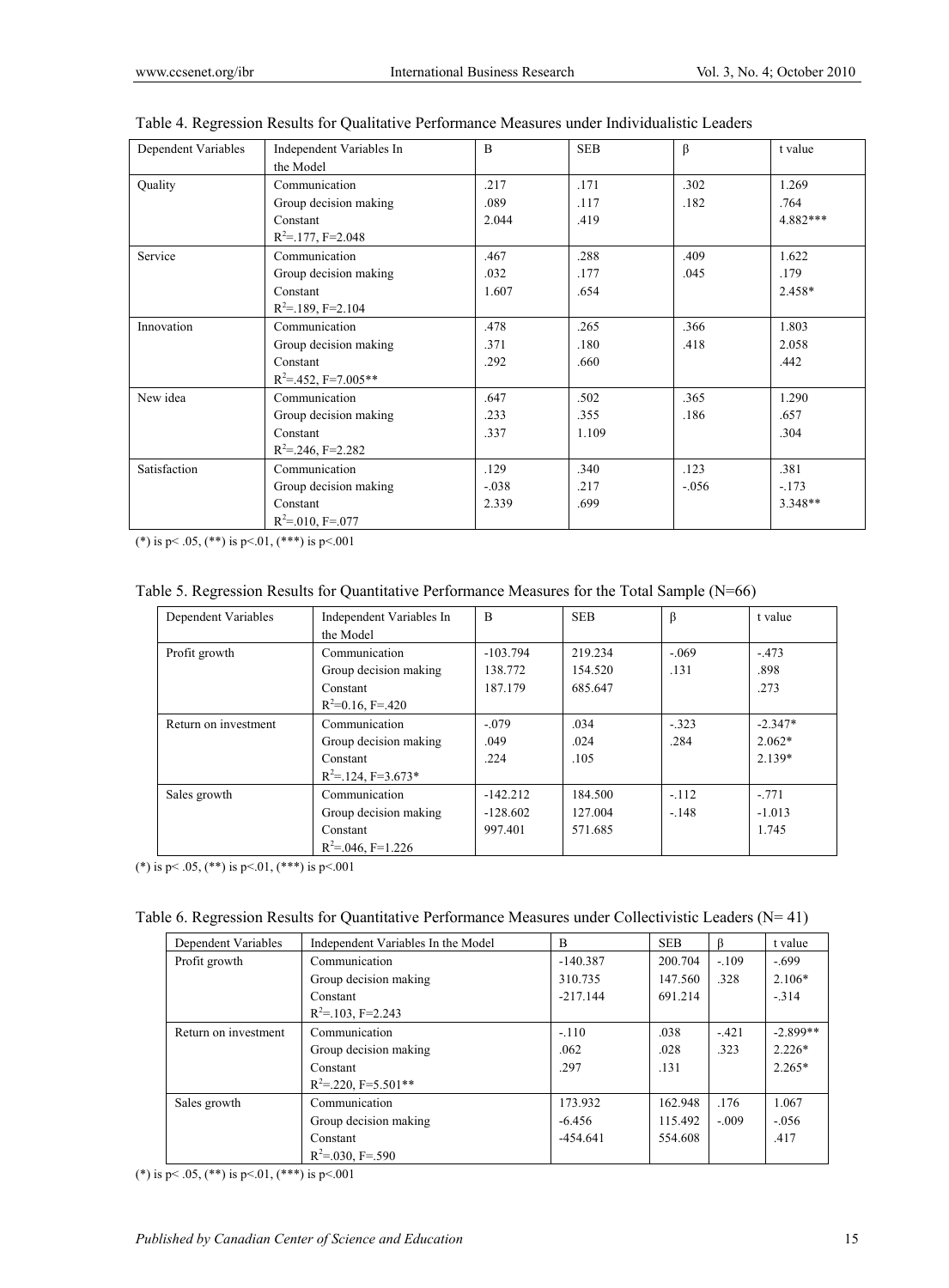| Dependent Variables | Independent Variables In | $\overline{B}$ | <b>SEB</b> | β       | t value  |
|---------------------|--------------------------|----------------|------------|---------|----------|
|                     | the Model                |                |            |         |          |
| Quality             | Communication            | .217           | .171       | .302    | 1.269    |
|                     | Group decision making    | .089           | .117       | .182    | .764     |
|                     | Constant                 | 2.044          | .419       |         | 4.882*** |
|                     | $R^2 = 177$ , F=2.048    |                |            |         |          |
| Service             | Communication            | .467           | .288       | .409    | 1.622    |
|                     | Group decision making    | .032           | .177       | .045    | .179     |
|                     | Constant                 | 1.607          | .654       |         | 2.458*   |
|                     | $R^2 = 189$ , F=2.104    |                |            |         |          |
| Innovation          | Communication            | .478           | .265       | .366    | 1.803    |
|                     | Group decision making    | .371           | .180       | .418    | 2.058    |
|                     | Constant                 | .292           | .660       |         | .442     |
|                     | $R^2 = 452$ , F=7.005**  |                |            |         |          |
| New idea            | Communication            | .647           | .502       | .365    | 1.290    |
|                     | Group decision making    | .233           | .355       | .186    | .657     |
|                     | Constant                 | .337           | 1.109      |         | .304     |
|                     | $R^2 = 246$ , F=2.282    |                |            |         |          |
| Satisfaction        | Communication            | .129           | .340       | .123    | .381     |
|                     | Group decision making    | $-.038$        | .217       | $-.056$ | $-.173$  |
|                     | Constant                 | 2.339          | .699       |         | 3.348**  |
|                     | $R^2 = 010$ , F= 077     |                |            |         |          |

(\*) is p < .05, (\*\*) is p < .01, (\*\*\*) is p < .001

Table 5. Regression Results for Quantitative Performance Measures for the Total Sample (N=66)

| Dependent Variables  | Independent Variables In<br>the Model                                         | B                                   | <b>SEB</b>                    | β                | t value                           |
|----------------------|-------------------------------------------------------------------------------|-------------------------------------|-------------------------------|------------------|-----------------------------------|
| Profit growth        | Communication<br>Group decision making<br>Constant<br>$R^2$ =0.16, F=.420     | $-103.794$<br>138.772<br>187.179    | 219.234<br>154.520<br>685.647 | $-069$<br>.131   | $-.473$<br>.898<br>.273           |
| Return on investment | Communication<br>Group decision making<br>Constant<br>$R^2$ =.124, F=3.673*   | $-.079$<br>.049<br>.224             | .034<br>.024<br>.105          | $-.323$<br>.284  | $-2.347*$<br>$2.062*$<br>$2.139*$ |
| Sales growth         | Communication<br>Group decision making<br>Constant<br>$R^2 = 0.046$ , F=1.226 | $-142.212$<br>$-128.602$<br>997.401 | 184.500<br>127.004<br>571.685 | $-112$<br>$-148$ | $-.771$<br>$-1.013$<br>1.745      |

(\*) is p < .05, (\*\*) is p < .01, (\*\*\*) is p < .001

| Table 6. Regression Results for Quantitative Performance Measures under Collectivistic Leaders ( $N=41$ ) |  |  |
|-----------------------------------------------------------------------------------------------------------|--|--|
|                                                                                                           |  |  |

| Dependent Variables  | Independent Variables In the Model | B          | <b>SEB</b> | ß       | t value    |
|----------------------|------------------------------------|------------|------------|---------|------------|
| Profit growth        | Communication                      | $-140.387$ | 200.704    | $-.109$ | $-.699$    |
|                      | Group decision making              | 310.735    | 147.560    | .328    | $2.106*$   |
|                      | Constant                           | $-217.144$ | 691.214    |         | $-314$     |
|                      | $R^2 = 103$ . F=2.243              |            |            |         |            |
| Return on investment | Communication                      | $-.110$    | .038       | $-421$  | $-2.899**$ |
|                      | Group decision making              | .062       | .028       | 323     | $2.226*$   |
|                      | Constant                           | .297       | .131       |         | $2.265*$   |
|                      | $R^2 = 220$ , $F = 5.501**$        |            |            |         |            |
| Sales growth         | Communication                      | 173.932    | 162.948    | .176    | 1.067      |
|                      | Group decision making              | $-6.456$   | 115.492    | $-.009$ | $-.056$    |
|                      | Constant                           | $-454.641$ | 554.608    |         | .417       |
|                      | $R^2 = 0.030$ . F= 590             |            |            |         |            |

(\*) is p < .05, (\*\*) is p < .01, (\*\*\*) is p < .001